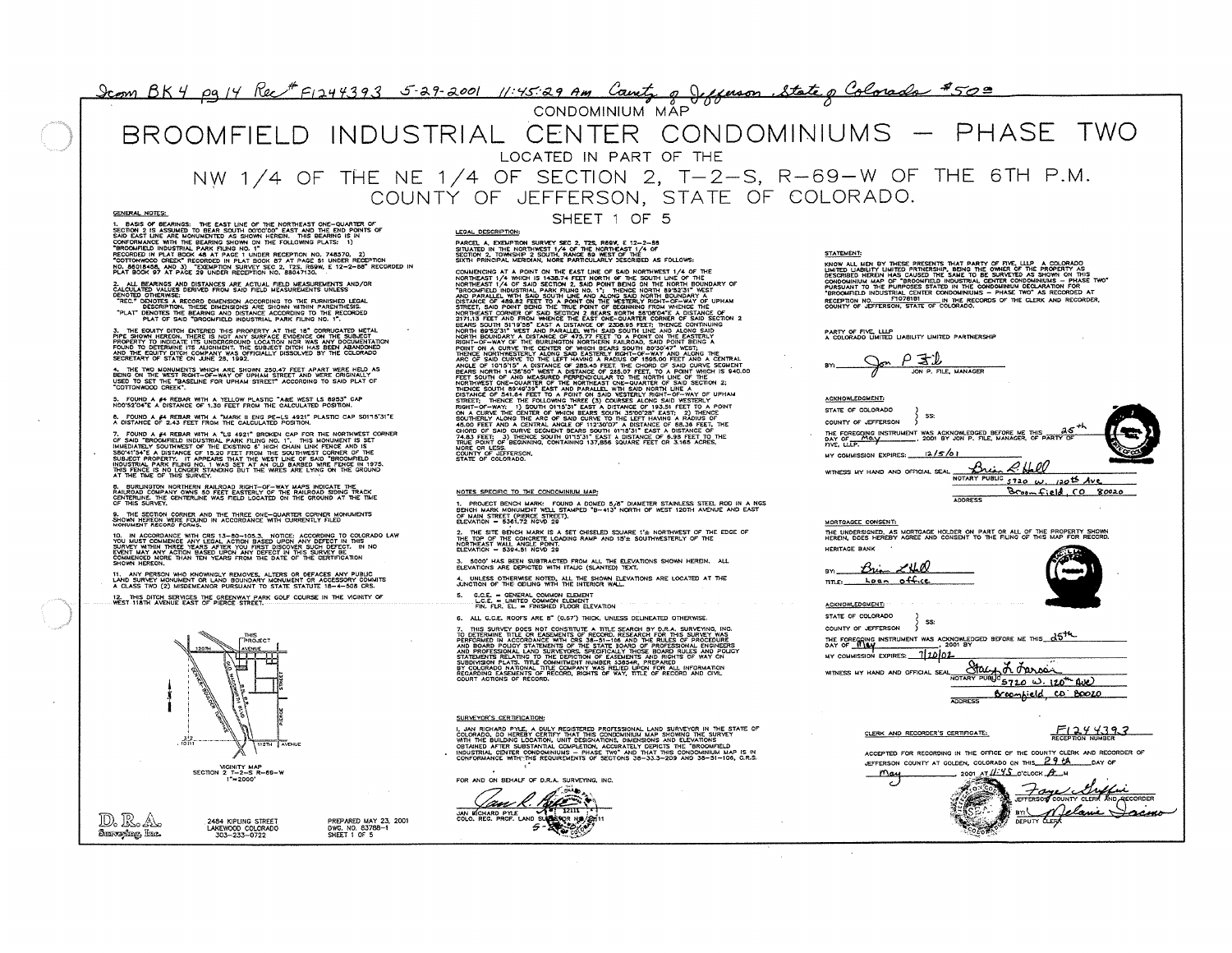# <u>09 14 Kec F1244393 3-29-2001 11:45:29 Am Count,</u> g g

## BROOMFIELD INDUSTRIAL CENTER CONDOMINIUMS - PHASE TWO LOCATED IN PART OF THE NW 1/4 OF THE NE 1/4 OF SECTION 2, T-2-S, R-69-W OF THE 6TH P.M.

COUNTY OF JEFFERSON, STATE OF COLORADO.

**GENERA. NOTES:**

1. BASS OF BEAMINGS: THE EAST LINE OF THE NORTHEAST ONE-QUARER OF<br>SECRET AND RESEARCH TO BEAR SOUTH ODDOO' EAST AND THE END POINTS OF<br>CONFORTABLE ARE MONUMENTED AS SHOWN HEREN, THIS BEAMING IS IN<br>CONFORMANCE WITH THE BEARI

**2. ALL BEARINGS AND DISTANCES** ARE ACTUAL **FIELD MEASUREMENTS AND/OR CALCULATED VALUES DERIVED FROM SAID FIELD MEASUREMENTS UNLESS**

DENDIO OTHERWISE:<br>TREC. DEPOTES TWE THESE DIMENSION ACCORDING TO THE EURINFUSION TO THE TREAT OF THE TREAT DEPARTMENT .<br>TREC. DEPOTES TWE THESE DIMENSIONS ARE SHOWN WITHN PARENTHESIS.<br>PLAT OF SAID "BROOMFIELD INDUSTRIAL PA

3. THE EQUITY DITCH ENTERED THIS PROPERTY AT THE 18° CORRUGATED METAL<br>PROPERTY TO INJOCATE ITS UNDERGROUND LOCATION NOR WAS ANY DOCUMENTATION<br>PROPERTY TO INJOCATE ITS UNGNAENT. THE SUBJECT DITCH HAS BEEN ABANDOMED<br>POUND TO

4. THE TWO MONUMENTS WHICH ARE SHOWN 250.47 FEET APART WERE HELD AS<br>BEING ON THE WEST RIGHT-OF-WAY OF UPHAM STREET AND WERE ORIGINALLY<br>"COTTONWOOD CREEK".<br>"COTTONWOOD CREEK".

**5. FOUND A #4 REBAR WITH A YELLOW PLASTIC "A&E WEST LS 8953" CAP**<br>NOO'52'O4"E A DISTANCE OF 1.30 FEET FROM THE CALCULATED POSITION.

**6. FOUND A #4 REBAR WITH A "MARK II ENG PE-LS 4921" PLASTIC CAP S0115'31"**<br>A DISTANCE OF 2.43 FEET FROM THE CALCULATED POSITION.

7. FOUND A #A REBAR WITH A "LS 4921" BROKEN CAP FOR THE NORTHWEST CORNER<br>GEORGE THE REPORT OF THE PARTICULAR WITH A REPORT OF THE MONUMENT IS SET<br>SBOATSHIP A DISTANCE OF THIS OPERIT PROJECTION WIND CONNER OF THE PARTICULAR

8. BURLINGTON NORTHERN RAILROAD RIGHT-OF-WAY MAPS INDICATE THE<br>RAILROAD COMPANY OWNS 50 FEET EASTERLY OF THE RAILROAD SIDING TRACK<br>CENTERLING SURVEY.<br>OF THIS SURVEY.

### **9. THE SECTION CORNER AND THE THREE ONE-QUARTER CORNER MONUMENTS SHOWN HEREON WERE FOUND IN ACCORDANCE** WITH **CURRENTLY FILED MONUMENT RECORD FORMS.**

10. IN ACCORDANCE WITH CRS 13-BO-105.3. NOTICE: ACCORDING TO COLORADO LAW<br>SURVEY WITHIN THREE TEARS AFTER YOU FIRST DISOOVER SUCH DEFECT IN THIS<br>SURVEY WITHIN THREE TEARS AFTER YOU FIRST DISCOVER SUCH DEFECT. IN NO<br>EVENT M

11. ANY PERSON WHO KNOWINGLY REMOVES, ALTERS OR DEFACES ANY PUBLIC<br>LAND SURVEY MONUMENT OR LAND BOUNDARY MONUMENT OR ACCESSORY COMMIT:<br>A CLASS TWO (2) MISDEMEANOR PURSUANT TO STATE STATUTE 18—4—508 CRS.

**12. THIS DITCH SERMCES THE GREENWAY PARK GOLF COURSE IN THE MCINITY O WEST 118TH AVENUE EAST OF PIERCE STREET.**



<sup>D</sup>oIo **2484 KIPLINO STREET PREPARED MAY 23, 2001 LAKEWOOD COLORADO DWG. NO. 83788-1 303-233-0722 SHEET 1 OF 5**

SHEET 1 OF 5

# PARCEL A, EXEMPTION SURVEY SEC 2, TZS, RGGW, E 12-2-88<br>SITUATED IN THE NORTHWEST 1/4 OF THE NORTHEAST 1/4 OF<br>SECTION 2, TOWNSHIP 2 SOUTH, RANGE 89 WEST OF THE<br>SIXTH PRINCIPAL MERIDIAN, MORE PARTICULARLY DESCRIBED AS FOLLOW

COMMERCIANG AT A POINT ON THE EAST (ME OF SAN DARRINGEST T/4 OF THE<br>COMMERCIANG AT A POINT ON THE EAST (ME OF SAN DATINGEST T/4 OF THE<br>1980-MELLIC INDUSTRIAL PARK PURCHASING THE CONTRACT OF THE MAN CONTROL INTERNATIONAL P

**LEGAL DESCRIPTION:**

#### **NOTES SPECIFIC TO THE CONDOMINIUM MAP:**

1. PROJECT BENCH MARK: FOUND A DOMED 5/8" DIAMETER STAINLESS STEEL ROD IN A NG:<br>BENCH MARK MONUMENT WELL STAMPED "B-413" NORTH OF WEST 120TH AVENUE AND EAST<br>CLEVATION = 5361.72 NGVD 29<br>ELEVATION = 5361.72 NGVD 29

2. THE SITE BENCH MARK IS A SET CHISELED SQUARE 1'± NORTHWEST OF THE EDGE OF<br>THE TOP OF THE CONCRETE LOADING RAMP AND 15'± SOUTHWESTERLY OF THE<br>RIEVATION = 5394.51 NGVD 29

**3. 5000' HAS BEEN SUBTRACTED FROM ALL THE ELEVATIONS SHOWN HERON. ALL ELEVATIONS ARE DEPICTED WITH ITALIC (SLANTED) TEXT.**

**4. UNLESS OTHERWISE NOTED, ALL THE SHOWN ELEVATIONS ARE LOCATED AT THE**<br>JUNCTION OF THE CEILING WITH THE INTERIOR WALL.

**5. C.C.E - GENERAL COMMON ELEMENT L.C.E - LIMITED COMMON ELEMENT** FIN. FIR. EL - **FINISHED FLOOR ELEVATION**

S. ALL **C.C.E. ROOFS ARE 6' (0.67') THICK, UNLESS OEUNEATED OTHERWISE.**

7. THIS SURVEY OF S NOT CONSTITUTE A TITLE SEARCH FOR THIS SURVEY. INC.<br>TO DETENING THE OR EASSMENTS OF RECORD, RESEARCH FOR THIS SURVEY, WAS<br>THE GRAND INCOCORDANCE WITH CREATED TO AND THE ROUTESTON PROCEDURES<br>AND PROFESSI

#### **SURVEYOR'S CERTIFICATION:**

I, JAN RICHARD PYLE, A DULY REGISTERED PROFESISINAL LAND SURVEYOR IN THE STATE OF<br>COLORADO, DO HEREBY CERTIFY THAT THIS CONDOMINIUM MAP SHOWING THE SURVEY<br>WITH THE BUILDING LOCATION, UNIT DESIGNATIONS, DIMENSIONS AND ELEVA

FOR AND ON BEHALF OF D.R.A. SURVEYING, INC.



**STATEMENT:**

MODIMAL MEN PT HERE PRESENTE THAT CARRY COMPANY AND RECORDED HERE AND DESCRIPTION ON THE CHENGE OF THE CONDUCTION ON THE CONDUCTION ON THE CONDUCTION ON THE CONDUCTION ON THE CONDUCTION ON THE CONDUCTION ON THE CONDUCTION

PARTY OF FIVE, LLLP<br>A COLORADO LIMITED LIABILITY LIMITED PAR**TNERSHI**F

 $P = 1$ **JON P. FILE, MANAGER**



**MORTGAGEE CONSENT:**

THE UNDERSIGNED, AS MORTGAGE HOLDER ON PART OR ALL OF THE PROPERTY SHOWN<br>HEREIN, DOES HEREBY AGREE AND CONSENT TO THE FIUNG OF THIS MAP FOR RECORD **HERITAGE BANK** Brian LHD **Lon.. o44.tt TITLE:** ACKNOWLEDGMENT: STATE OF COLORADO **SS** COUNTY OF JEFFERSON THE FORECOING INSTRUMENT WAS ACKNOWLEDGED BEFORE ME THIS  $d\bar{D}$ . **12001 WITNESS MY HAND AND OFFICIAL SEAL** NOTARY PUBLIC V **UX DUC**<br>NOTARY PUBLIC 5720 W. 120<sup>th</sup> AVE **ADDRESS**  $F1244393$ **91 \_** Broomhield CD BOOZO

### **CLERK AND RECORDER'S CERTIFICATE:**

**ACCEPTED FOR RECORDING IN THE OFFICE** OF THE COUNTY **CLERK AND RECORDER O** JEFFERSON COUNTY AT GOLDEN, COLORADO ON THIS 29 CA BAY OF  $M_{\text{avg}}$  2001 AT  $\mu$  .  $\mu$  2001 AT  $\mu$  .  $\mu$ 

DEPUTY

**COUNTY CLERK NO BECORDER**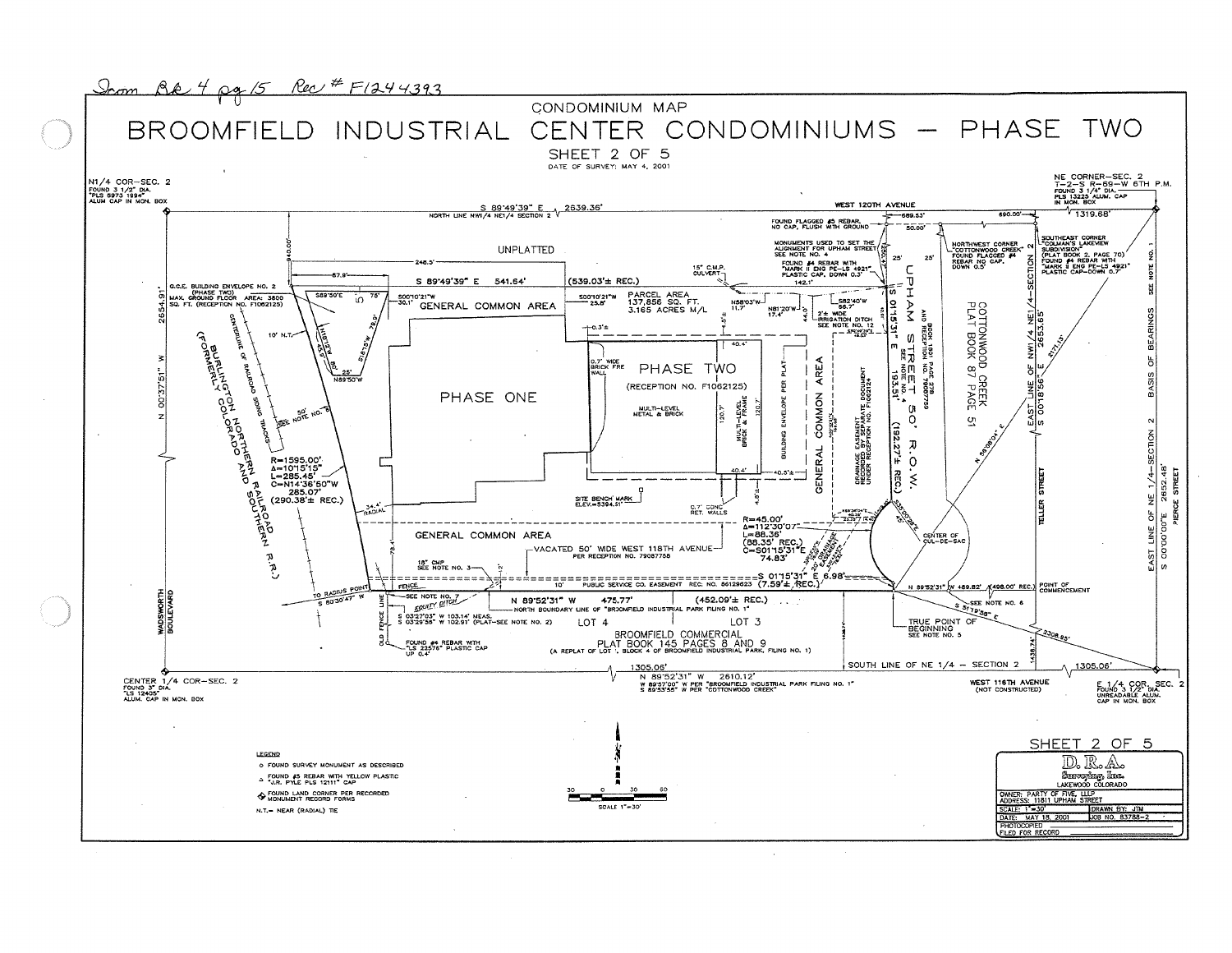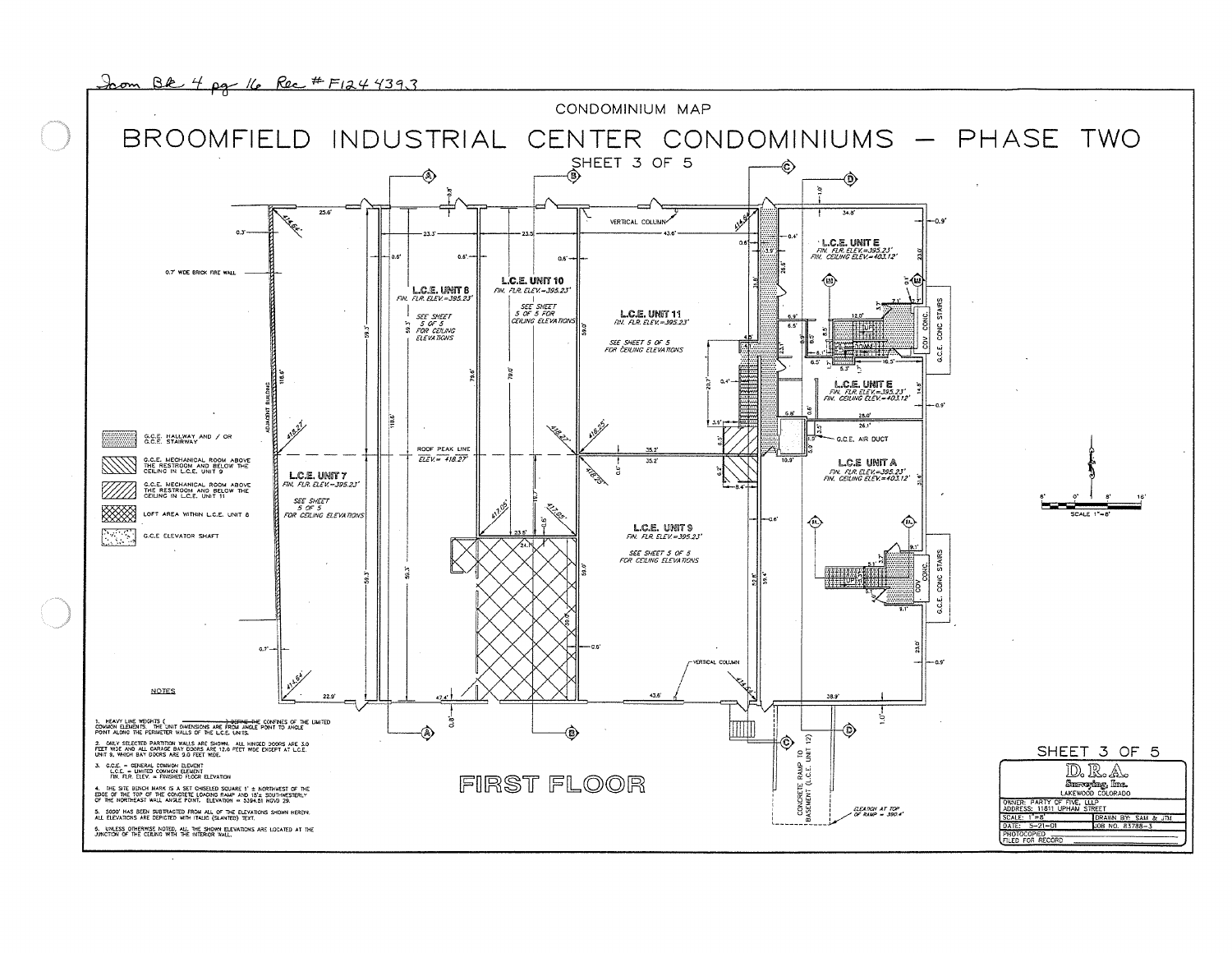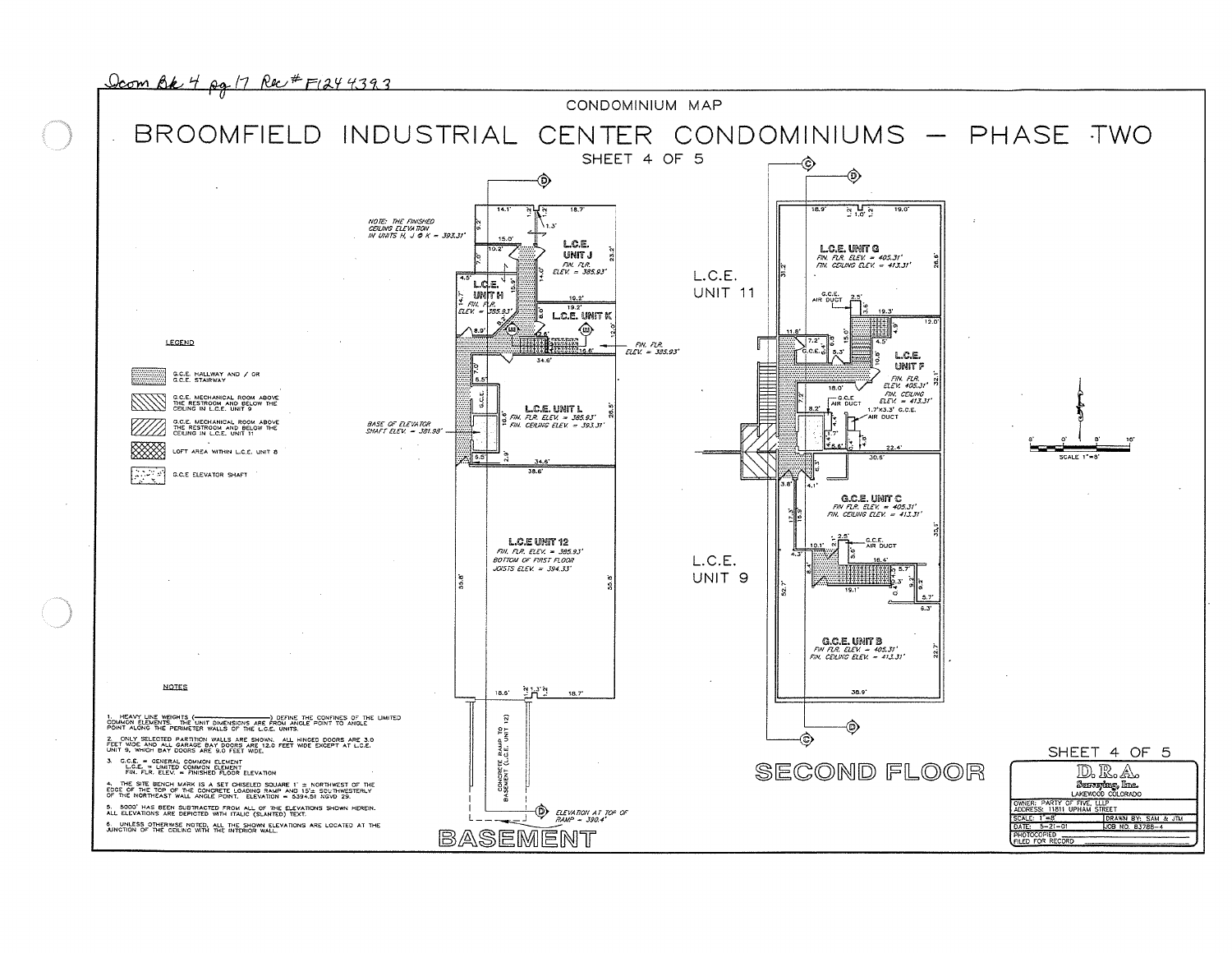

PHOTOCOPIED